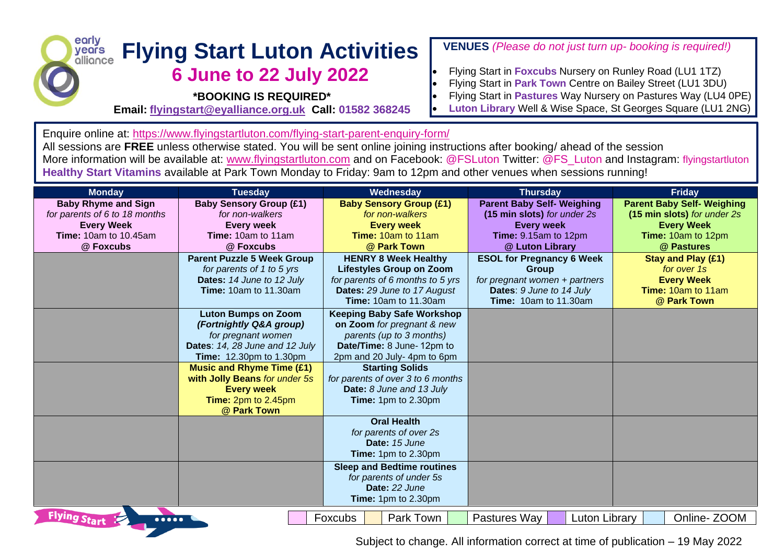## early **Flying Start Luton Activities** years ollionce **6 June to 22 July 2022**

**\*BOOKING IS REQUIRED\***

**Email: [flyingstart@eyalliance.org.uk](mailto:flyingstart@eyalliance.org.uk) Call: 01582 368245**

## **VENUES** *(Please do not just turn up- booking is required!)*

- Flying Start in **Foxcubs** Nursery on Runley Road (LU1 1TZ)
- Flying Start in **Park Town** Centre on Bailey Street (LU1 3DU)
- Flying Start in **Pastures** Way Nursery on Pastures Way (LU4 0PE)
- **Luton Library** Well & Wise Space, St Georges Square (LU1 2NG)

Enquire online at:<https://www.flyingstartluton.com/flying-start-parent-enquiry-form/>

All sessions are **FREE** unless otherwise stated. You will be sent online joining instructions after booking/ ahead of the session More information will be available at: [www.flyingstartluton.com](http://www.flyingstartluton.com/) and on Facebook: @FSLuton Twitter: @FS\_Luton and Instagram: flyingstartluton **Healthy Start Vitamins** available at Park Town Monday to Friday: 9am to 12pm and other venues when sessions running!

| <b>Monday</b>                                                | <b>Tuesday</b>                    | Wednesday                         | <b>Thursday</b>                   | <b>Friday</b>                     |
|--------------------------------------------------------------|-----------------------------------|-----------------------------------|-----------------------------------|-----------------------------------|
| <b>Baby Rhyme and Sign</b>                                   | <b>Baby Sensory Group (£1)</b>    | <b>Baby Sensory Group (£1)</b>    | <b>Parent Baby Self- Weighing</b> | <b>Parent Baby Self- Weighing</b> |
| for parents of 6 to 18 months                                | for non-walkers                   | for non-walkers                   | (15 min slots) for under 2s       | (15 min slots) for under 2s       |
| <b>Every Week</b>                                            | <b>Every week</b>                 | <b>Every week</b>                 | <b>Every week</b>                 | <b>Every Week</b>                 |
| <b>Time: 10am to 10.45am</b>                                 | Time: 10am to 11am                | <b>Time: 10am to 11am</b>         | Time: 9.15am to 12pm              | Time: 10am to 12pm                |
| @ Foxcubs                                                    | @ Foxcubs                         | @ Park Town                       | @ Luton Library                   | @ Pastures                        |
|                                                              | <b>Parent Puzzle 5 Week Group</b> | <b>HENRY 8 Week Healthy</b>       | <b>ESOL for Pregnancy 6 Week</b>  | <b>Stay and Play (£1)</b>         |
|                                                              | for parents of 1 to 5 yrs         | <b>Lifestyles Group on Zoom</b>   | Group                             | for over 1s                       |
|                                                              | Dates: 14 June to 12 July         | for parents of 6 months to 5 yrs  | for pregnant women + partners     | <b>Every Week</b>                 |
|                                                              | <b>Time: 10am to 11.30am</b>      | Dates: 29 June to 17 August       | Dates: 9 June to 14 July          | <b>Time: 10am to 11am</b>         |
|                                                              |                                   | <b>Time: 10am to 11.30am</b>      | <b>Time:</b> 10am to 11.30am      | @ Park Town                       |
|                                                              | <b>Luton Bumps on Zoom</b>        | <b>Keeping Baby Safe Workshop</b> |                                   |                                   |
|                                                              | (Fortnightly Q&A group)           | on Zoom for pregnant & new        |                                   |                                   |
|                                                              | for pregnant women                | parents (up to 3 months)          |                                   |                                   |
|                                                              | Dates: 14, 28 June and 12 July    | Date/Time: 8 June-12pm to         |                                   |                                   |
|                                                              | <b>Time:</b> 12.30pm to 1.30pm    | 2pm and 20 July- 4pm to 6pm       |                                   |                                   |
|                                                              | <b>Music and Rhyme Time (£1)</b>  | <b>Starting Solids</b>            |                                   |                                   |
|                                                              | with Jolly Beans for under 5s     | for parents of over 3 to 6 months |                                   |                                   |
|                                                              | <b>Every week</b>                 | Date: 8 June and 13 July          |                                   |                                   |
|                                                              | Time: 2pm to 2.45pm               | Time: 1pm to 2.30pm               |                                   |                                   |
|                                                              | @ Park Town                       |                                   |                                   |                                   |
|                                                              |                                   | <b>Oral Health</b>                |                                   |                                   |
|                                                              |                                   | for parents of over 2s            |                                   |                                   |
|                                                              |                                   | Date: 15 June                     |                                   |                                   |
|                                                              |                                   | Time: 1pm to 2.30pm               |                                   |                                   |
|                                                              |                                   | <b>Sleep and Bedtime routines</b> |                                   |                                   |
|                                                              |                                   | for parents of under 5s           |                                   |                                   |
|                                                              |                                   | Date: 22 June                     |                                   |                                   |
|                                                              |                                   | Time: 1pm to 2.30pm               |                                   |                                   |
| <b>Flying Start</b><br>$\bullet\bullet\bullet\bullet\bullet$ |                                   | Park Town<br>Foxcubs              | Pastures Way<br>Luton Library     | Online-ZOOM                       |

Subject to change. All information correct at time of publication – 19 May 2022